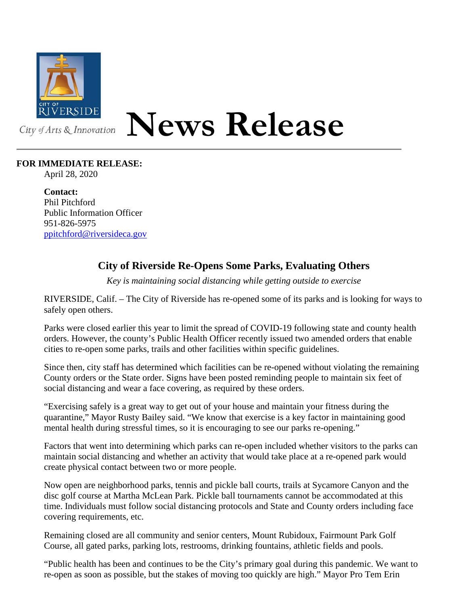

## **News Release**

## **FOR IMMEDIATE RELEASE:**

April 28, 2020

**Contact:** Phil Pitchford Public Information Officer 951-826-5975 [ppitchford@riversideca.gov](mailto:ppitchford@riversideca.gov)

## **City of Riverside Re-Opens Some Parks, Evaluating Others**

*Key is maintaining social distancing while getting outside to exercise*

RIVERSIDE, Calif. – The City of Riverside has re-opened some of its parks and is looking for ways to safely open others.

Parks were closed earlier this year to limit the spread of COVID-19 following state and county health orders. However, the county's Public Health Officer recently issued two amended orders that enable cities to re-open some parks, trails and other facilities within specific guidelines.

Since then, city staff has determined which facilities can be re-opened without violating the remaining County orders or the State order. Signs have been posted reminding people to maintain six feet of social distancing and wear a face covering, as required by these orders.

"Exercising safely is a great way to get out of your house and maintain your fitness during the quarantine," Mayor Rusty Bailey said. "We know that exercise is a key factor in maintaining good mental health during stressful times, so it is encouraging to see our parks re-opening."

Factors that went into determining which parks can re-open included whether visitors to the parks can maintain social distancing and whether an activity that would take place at a re-opened park would create physical contact between two or more people.

Now open are neighborhood parks, tennis and pickle ball courts, trails at Sycamore Canyon and the disc golf course at Martha McLean Park. Pickle ball tournaments cannot be accommodated at this time. Individuals must follow social distancing protocols and State and County orders including face covering requirements, etc.

Remaining closed are all community and senior centers, Mount Rubidoux, Fairmount Park Golf Course, all gated parks, parking lots, restrooms, drinking fountains, athletic fields and pools.

"Public health has been and continues to be the City's primary goal during this pandemic. We want to re-open as soon as possible, but the stakes of moving too quickly are high." Mayor Pro Tem Erin